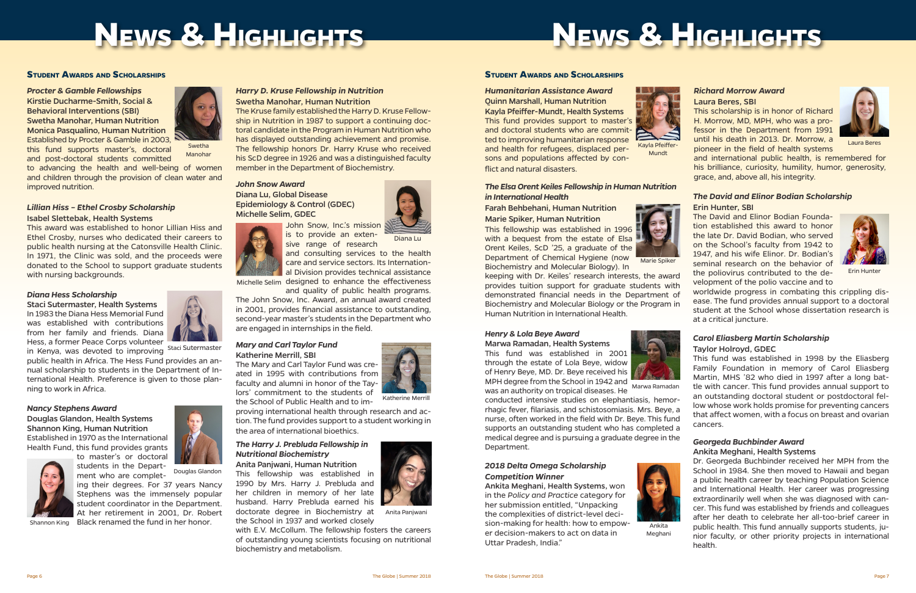

*Procter & Gamble Fellowships* Kirstie Ducharme-Smith, Social & Behavioral Interventions (SBI) Swetha Manohar, Human Nutrition Monica Pasqualino, Human Nutrition Established by Procter & Gamble in 2003, this fund supports master's, doctoral

Staci Sutermaster, Health Systems In 1983 the Diana Hess Memorial Fund was established with contributions from her family and friends. Diana Hess, a former Peace Corps volunteer In Kenya, was devoted to improving Staci Sutermaster

improved nutrition.

*Lillian Hiss – Ethel Crosby Scholarship* Isabel Slettebak, Health Systems

This award was established to honor Lillian Hiss and

Ethel Crosby, nurses who dedicated their careers to public health nursing at the Catonsville Health Clinic. In 1971, the Clinic was sold, and the proceeds were donated to the School to support graduate students with nursing backgrounds.

#### *Diana Hess Scholarship*

and consulting services to the health care and service sectors. Its International Division provides technical assistance Michelle Selim designed to enhance the effectiveness

public health in Africa. The Hess Fund provides an annual scholarship to students in the Department of International Health. Preference is given to those planning to work in Africa.

#### *Nancy Stephens Award*

Douglas Glandon, Health Systems Shannon King, Human Nutrition Established in 1970 as the International Health Fund, this fund provides grants



ing their degrees. For 37 years Nancy Stephens was the immensely popular student coordinator in the Department. At her retirement in 2001, Dr. Robert

Shannon King Black renamed the fund in her honor.

#### **Student Awards and Scholarships**

#### *Harry D. Kruse Fellowship in Nutrition* Swetha Manohar, Human Nutrition

The Kruse family established the Harry D. Kruse Fellowship in Nutrition in 1987 to support a continuing doctoral candidate in the Program in Human Nutrition who has displayed outstanding achievement and promise. The fellowship honors Dr. Harry Kruse who received his ScD degree in 1926 and was a distinguished faculty member in the Department of Biochemistry.

#### *John Snow Award* Diana Lu, Global Disease Epidemiology & Control (GDEC) Michelle Selim, GDEC

John Snow, Inc.'s mission is to provide an exten-



and quality of public health programs. The John Snow, Inc. Award, an annual award created in 2001, provides financial assistance to outstanding, second-year master's students in the Department who

are engaged in internships in the field.

#### *Mary and Carl Taylor Fund* Katherine Merrill, SBI

The Mary and Carl Taylor Fund was created in 1995 with contributions from faculty and alumni in honor of the Taylors' commitment to the students of the School of Public Health and to im-

proving international health through research and action. The fund provides support to a student working in the area of international bioethics.

### *The Harry J. Prebluda Fellowship in Nutritional Biochemistry*

Anita Panjwani, Human Nutrition This fellowship was established in 1990 by Mrs. Harry J. Prebluda and her children in memory of her late husband. Harry Prebluda earned his doctorate degree in Biochemistry at the School in 1937 and worked closely

with E.V. McCollum. The fellowship fosters the careers of outstanding young scientists focusing on nutritional biochemistry and metabolism.



students in the Department who are complet-Douglas Glandon

*Humanitarian Assistance Award* Quinn Marshall, Human Nutrition Kayla Pfeiffer-Mundt, Health Systems This fund provides support to master's and doctoral students who are committed to improving humanitarian response and health for refugees, displaced persons and populations affected by conflict and natural disasters.

and post-doctoral students committed to advancing the health and well-being of women and children through the provision of clean water and Manohar



### Farah Behbehani, Human Nutrition Marie Spiker, Human Nutrition

This fellowship was established in 1996 with a bequest from the estate of Elsa Orent Keiles, ScD '25, a graduate of the Department of Chemical Hygiene (now Biochemistry and Molecular Biology). In



Marie Spiker

keeping with Dr. Keiles' research interests, the award provides tuition support for graduate students with demonstrated financial needs in the Department of Biochemistry and Molecular Biology or the Program in Human Nutrition in International Health.

#### *Henry & Lola Beye Award*

Marwa Ramadan, Health Systems This fund was established in 2001 through the estate of Lola Beye, widow of Henry Beye, MD. Dr. Beye received his MPH degree from the School in 1942 and was an authority on tropical diseases. He

conducted intensive studies on elephantiasis, hemorrhagic fever, filariasis, and schistosomiasis. Mrs. Beye, a nurse, often worked in the field with Dr. Beye. This fund supports an outstanding student who has completed a medical degree and is pursuing a graduate degree in the Department.

sive range of research Diana Lu

## **Student Awards and Scholarships**

Anita Panjwani



#### *Richard Morrow Award*  Laura Beres, SBI

This scholarship is in honor of Richard H. Morrow, MD, MPH, who was a professor in the Department from 1991 until his death in 2013. Dr. Morrow, a pioneer in the field of health systems



and international public health, is remembered for his brilliance, curiosity, humility, humor, generosity, grace, and, above all, his integrity.





Mundt

Katherine Merrill

Laura Beres

#### *The David and Elinor Bodian Scholarship* Erin Hunter, SBI

The David and Elinor Bodian Foundation established this award to honor the late Dr. David Bodian, who served on the School's faculty from 1942 to 1947, and his wife Elinor. Dr. Bodian's seminal research on the behavior of the poliovirus contributed to the development of the polio vaccine and to



worldwide progress in combating this crippling disease. The fund provides annual support to a doctoral student at the School whose dissertation research is at a critical juncture.

#### *Carol Eliasberg Martin Scholarship*

#### Taylor Holroyd, GDEC

This fund was established in 1998 by the Eliasberg Family Foundation in memory of Carol Eliasberg Martin, MHS '82 who died in 1997 after a long battle with cancer. This fund provides annual support to an outstanding doctoral student or postdoctoral fellow whose work holds promise for preventing cancers that affect women, with a focus on breast and ovarian cancers.

#### *Georgeda Buchbinder Award* Ankita Meghani, Health Systems



Dr. Georgeda Buchbinder received her MPH from the School in 1984. She then moved to Hawaii and began a public health career by teaching Population Science and International Health. Her career was progressing extraordinarily well when she was diagnosed with cancer. This fund was established by friends and colleagues after her death to celebrate her all-too-brief career in public health. This fund annually supports students, junior faculty, or other priority projects in international health.

Erin Hunter

#### *2018 Delta Omega Scholarship Competition Winner*

Ankita Meghani, Health Systems, won in the *Policy and Practice* category for her submission entitled, "Unpacking the complexities of district-level decision-making for health: how to empower decision-makers to act on data in Uttar Pradesh, India."





Ankita Meghani